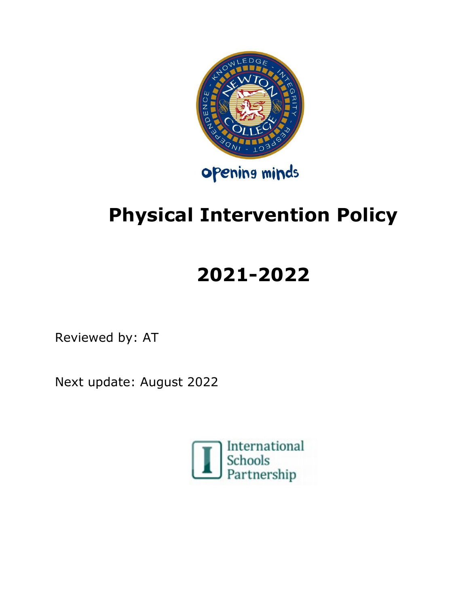# **Physical Intervention Policy**

## **2021-2022**

Reviewed by: AT

Next update: August 2022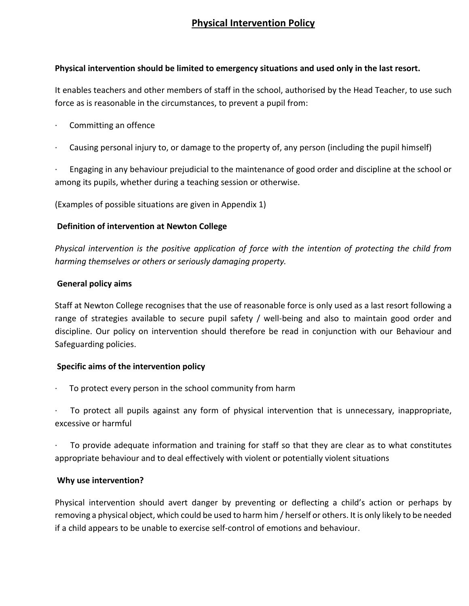### **Physical Intervention Policy**

#### **Physical intervention should be limited to emergency situations and used only in the last resort.**

It enables teachers and other members of staff in the school, authorised by the Head Teacher, to use such force as is reasonable in the circumstances, to prevent a pupil from:

- Committing an offence
- Causing personal injury to, or damage to the property of, any person (including the pupil himself)

· Engaging in any behaviour prejudicial to the maintenance of good order and discipline at the school or among its pupils, whether during a teaching session or otherwise.

(Examples of possible situations are given in Appendix 1)

#### **Definition of intervention at Newton College**

*Physical intervention is the positive application of force with the intention of protecting the child from harming themselves or others or seriously damaging property.*

#### **General policy aims**

Staff at Newton College recognises that the use of reasonable force is only used as a last resort following a range of strategies available to secure pupil safety / well-being and also to maintain good order and discipline. Our policy on intervention should therefore be read in conjunction with our Behaviour and Safeguarding policies.

#### **Specific aims of the intervention policy**

- To protect every person in the school community from harm
- To protect all pupils against any form of physical intervention that is unnecessary, inappropriate, excessive or harmful

· To provide adequate information and training for staff so that they are clear as to what constitutes appropriate behaviour and to deal effectively with violent or potentially violent situations

#### **Why use intervention?**

Physical intervention should avert danger by preventing or deflecting a child's action or perhaps by removing a physical object, which could be used to harm him / herself or others. It is only likely to be needed if a child appears to be unable to exercise self-control of emotions and behaviour.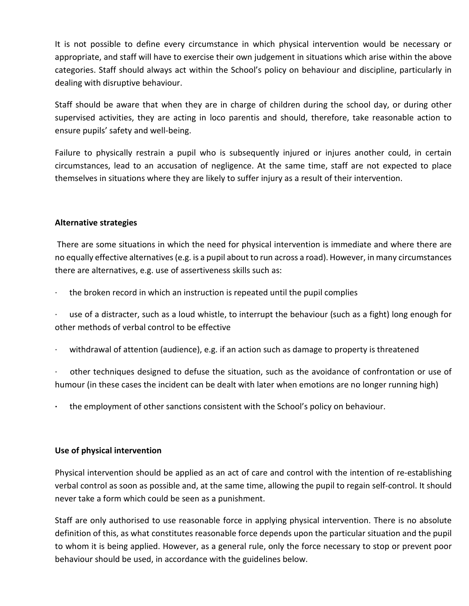It is not possible to define every circumstance in which physical intervention would be necessary or appropriate, and staff will have to exercise their own judgement in situations which arise within the above categories. Staff should always act within the School's policy on behaviour and discipline, particularly in dealing with disruptive behaviour.

Staff should be aware that when they are in charge of children during the school day, or during other supervised activities, they are acting in loco parentis and should, therefore, take reasonable action to ensure pupils' safety and well-being.

Failure to physically restrain a pupil who is subsequently injured or injures another could, in certain circumstances, lead to an accusation of negligence. At the same time, staff are not expected to place themselves in situations where they are likely to suffer injury as a result of their intervention.

#### **Alternative strategies**

There are some situations in which the need for physical intervention is immediate and where there are no equally effective alternatives (e.g. is a pupil about to run across a road). However, in many circumstances there are alternatives, e.g. use of assertiveness skills such as:

the broken record in which an instruction is repeated until the pupil complies

use of a distracter, such as a loud whistle, to interrupt the behaviour (such as a fight) long enough for other methods of verbal control to be effective

withdrawal of attention (audience), e.g. if an action such as damage to property is threatened

· other techniques designed to defuse the situation, such as the avoidance of confrontation or use of humour (in these cases the incident can be dealt with later when emotions are no longer running high)

**·** the employment of other sanctions consistent with the School's policy on behaviour.

#### **Use of physical intervention**

Physical intervention should be applied as an act of care and control with the intention of re-establishing verbal control as soon as possible and, at the same time, allowing the pupil to regain self-control. It should never take a form which could be seen as a punishment.

Staff are only authorised to use reasonable force in applying physical intervention. There is no absolute definition of this, as what constitutes reasonable force depends upon the particular situation and the pupil to whom it is being applied. However, as a general rule, only the force necessary to stop or prevent poor behaviour should be used, in accordance with the guidelines below.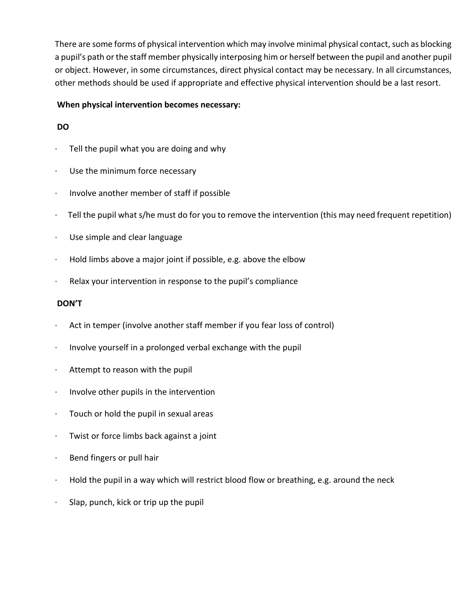There are some forms of physical intervention which may involve minimal physical contact, such as blocking a pupil's path or the staff member physically interposing him or herself between the pupil and another pupil or object. However, in some circumstances, direct physical contact may be necessary. In all circumstances, other methods should be used if appropriate and effective physical intervention should be a last resort.

#### **When physical intervention becomes necessary:**

#### **DO**

- Tell the pupil what you are doing and why
- · Use the minimum force necessary
- · Involve another member of staff if possible
- $\cdot$  Tell the pupil what s/he must do for you to remove the intervention (this may need frequent repetition)
- · Use simple and clear language
- $\cdot$  Hold limbs above a major joint if possible, e.g. above the elbow
- · Relax your intervention in response to the pupil's compliance

#### **DON'T**

- Act in temper (involve another staff member if you fear loss of control)
- · Involve yourself in a prolonged verbal exchange with the pupil
- · Attempt to reason with the pupil
- · Involve other pupils in the intervention
- $\cdot$  Touch or hold the pupil in sexual areas
- Twist or force limbs back against a joint
- · Bend fingers or pull hair
- $\cdot$  Hold the pupil in a way which will restrict blood flow or breathing, e.g. around the neck
- Slap, punch, kick or trip up the pupil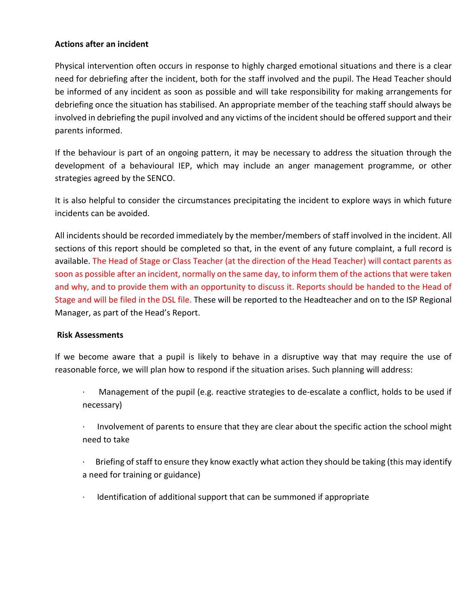#### **Actions after an incident**

Physical intervention often occurs in response to highly charged emotional situations and there is a clear need for debriefing after the incident, both for the staff involved and the pupil. The Head Teacher should be informed of any incident as soon as possible and will take responsibility for making arrangements for debriefing once the situation has stabilised. An appropriate member of the teaching staff should always be involved in debriefing the pupil involved and any victims of the incident should be offered support and their parents informed.

If the behaviour is part of an ongoing pattern, it may be necessary to address the situation through the development of a behavioural IEP, which may include an anger management programme, or other strategies agreed by the SENCO.

It is also helpful to consider the circumstances precipitating the incident to explore ways in which future incidents can be avoided.

All incidents should be recorded immediately by the member/members of staff involved in the incident. All sections of this report should be completed so that, in the event of any future complaint, a full record is available. The Head of Stage or Class Teacher (at the direction of the Head Teacher) will contact parents as soon as possible after an incident, normally on the same day, to inform them of the actions that were taken and why, and to provide them with an opportunity to discuss it. Reports should be handed to the Head of Stage and will be filed in the DSL file. These will be reported to the Headteacher and on to the ISP Regional Manager, as part of the Head's Report.

#### **Risk Assessments**

If we become aware that a pupil is likely to behave in a disruptive way that may require the use of reasonable force, we will plan how to respond if the situation arises. Such planning will address:

· Management of the pupil (e.g. reactive strategies to de-escalate a conflict, holds to be used if necessary)

· Involvement of parents to ensure that they are clear about the specific action the school might need to take

 $\cdot$  Briefing of staff to ensure they know exactly what action they should be taking (this may identify a need for training or guidance)

· Identification of additional support that can be summoned if appropriate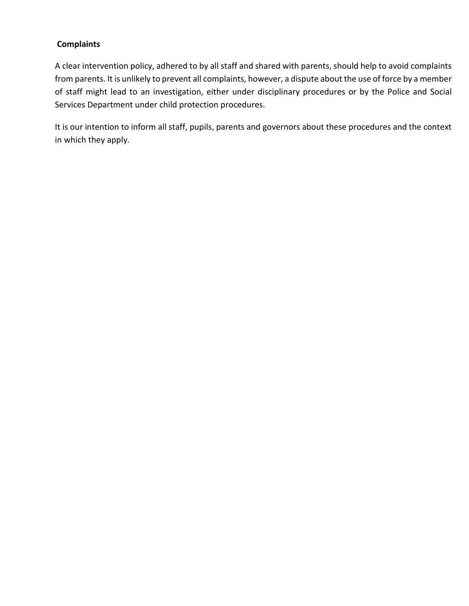#### **Complaints**

A clear intervention policy, adhered to by all staff and shared with parents, should help to avoid complaints from parents. It is unlikely to prevent all complaints, however, a dispute about the use of force by a member of staff might lead to an investigation, either under disciplinary procedures or by the Police and Social Services Department under child protection procedures.

It is our intention to inform all staff, pupils, parents and governors about these procedures and the context in which they apply.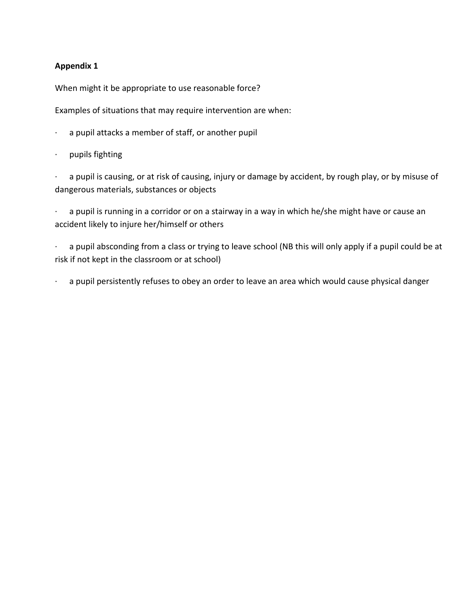#### **Appendix 1**

When might it be appropriate to use reasonable force?

Examples of situations that may require intervention are when:

- · a pupil attacks a member of staff, or another pupil
- · pupils fighting

· a pupil is causing, or at risk of causing, injury or damage by accident, by rough play, or by misuse of dangerous materials, substances or objects

a pupil is running in a corridor or on a stairway in a way in which he/she might have or cause an accident likely to injure her/himself or others

a pupil absconding from a class or trying to leave school (NB this will only apply if a pupil could be at risk if not kept in the classroom or at school)

· a pupil persistently refuses to obey an order to leave an area which would cause physical danger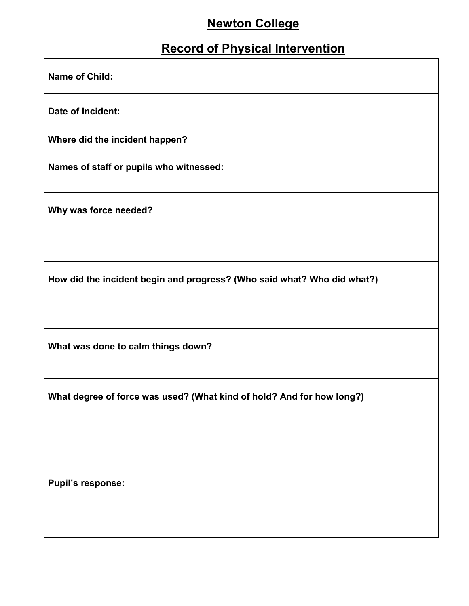## **Newton College**

### **Record of Physical Intervention**

**Name of Child:** 

**Date of Incident:**

**Where did the incident happen?**

**Names of staff or pupils who witnessed:**

**Why was force needed?**

**How did the incident begin and progress? (Who said what? Who did what?)**

**What was done to calm things down?**

**What degree of force was used? (What kind of hold? And for how long?)**

**Pupil's response:**